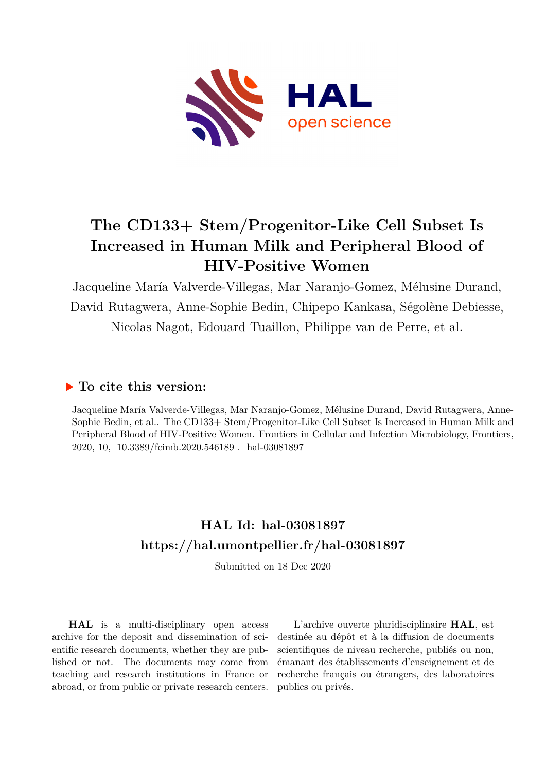

# **The CD133+ Stem/Progenitor-Like Cell Subset Is Increased in Human Milk and Peripheral Blood of HIV-Positive Women**

Jacqueline María Valverde-Villegas, Mar Naranjo-Gomez, Mélusine Durand, David Rutagwera, Anne-Sophie Bedin, Chipepo Kankasa, Ségolène Debiesse, Nicolas Nagot, Edouard Tuaillon, Philippe van de Perre, et al.

## **To cite this version:**

Jacqueline María Valverde-Villegas, Mar Naranjo-Gomez, Mélusine Durand, David Rutagwera, Anne-Sophie Bedin, et al.. The CD133+ Stem/Progenitor-Like Cell Subset Is Increased in Human Milk and Peripheral Blood of HIV-Positive Women. Frontiers in Cellular and Infection Microbiology, Frontiers, 2020, 10, 10.3389/fcimb.2020.546189. hal-03081897

## **HAL Id: hal-03081897 <https://hal.umontpellier.fr/hal-03081897>**

Submitted on 18 Dec 2020

**HAL** is a multi-disciplinary open access archive for the deposit and dissemination of scientific research documents, whether they are published or not. The documents may come from teaching and research institutions in France or abroad, or from public or private research centers.

L'archive ouverte pluridisciplinaire **HAL**, est destinée au dépôt et à la diffusion de documents scientifiques de niveau recherche, publiés ou non, émanant des établissements d'enseignement et de recherche français ou étrangers, des laboratoires publics ou privés.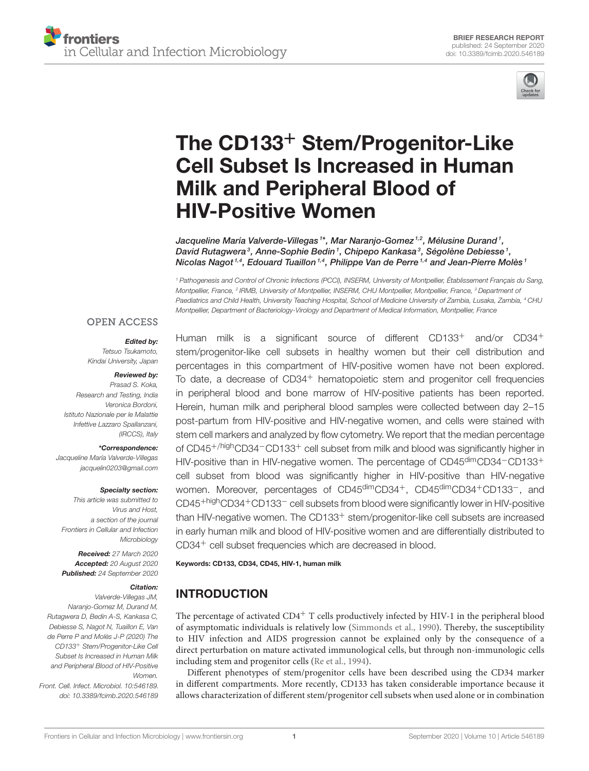

# The CD133<sup>+</sup> Stem/Progenitor-Like [Cell Subset Is Increased in Human](https://www.frontiersin.org/articles/10.3389/fcimb.2020.546189/full) Milk and Peripheral Blood of HIV-Positive Women

Jacqueline María Valverde-Villegas <sup>1\*</sup>, Mar Naranjo-Gomez <sup>1,2</sup>, Mélusine Durand <sup>1</sup>, David Rutagwera<sup>3</sup>, Anne-Sophie Bedin<sup>1</sup>, Chipepo Kankasa<sup>3</sup>, Ségolène Debiesse<sup>1</sup>, Nicolas Nagot<sup>1,4</sup>, Edouard Tuaillon<sup>1,4</sup>, Philippe Van de Perre<sup>1,4</sup> and Jean-Pierre Molès<sup>1</sup>

<sup>1</sup> Pathogenesis and Control of Chronic Infections (PCCI), INSERM, University of Montpellier, Établissement Français du Sang, Montpellier, France, <sup>2</sup> IRMB, University of Montpellier, INSERM, CHU Montpellier, Montpellier, France, <sup>3</sup> Department oi Paediatrics and Child Health, University Teaching Hospital, School of Medicine University of Zambia, Lusaka, Zambia, <sup>4</sup> CHU Montpellier, Department of Bacteriology-Virology and Department of Medical Information, Montpellier, France

#### **OPEN ACCESS**

## Edited by:

Tetsuo Tsukamoto, Kindai University, Japan

#### Reviewed by:

Prasad S. Koka, Research and Testing, India Veronica Bordoni, Istituto Nazionale per le Malattie Infettive Lazzaro Spallanzani, (IRCCS), Italy

#### \*Correspondence:

Jacqueline María Valverde-Villegas [jacquelin0203@gmail.com](mailto:jacquelin0203@gmail.com)

#### Specialty section:

This article was submitted to Virus and Host, a section of the journal Frontiers in Cellular and Infection **Microbiology** 

Received: 27 March 2020 Accepted: 20 August 2020 Published: 24 September 2020

#### Citation:

Valverde-Villegas JM, Naranjo-Gomez M, Durand M, Rutagwera D, Bedin A-S, Kankasa C, Debiesse S, Nagot N, Tuaillon E, Van de Perre P and Molès J-P (2020) The CD133<sup>+</sup> Stem/Progenitor-Like Cell Subset Is Increased in Human Milk and Peripheral Blood of HIV-Positive Women.

Front. Cell. Infect. Microbiol. 10:546189. doi: [10.3389/fcimb.2020.546189](https://doi.org/10.3389/fcimb.2020.546189)

Human milk is a significant source of different CD133<sup>+</sup> and/or CD34<sup>+</sup> stem/progenitor-like cell subsets in healthy women but their cell distribution and percentages in this compartment of HIV-positive women have not been explored. To date, a decrease of CD34<sup>+</sup> hematopoietic stem and progenitor cell frequencies in peripheral blood and bone marrow of HIV-positive patients has been reported. Herein, human milk and peripheral blood samples were collected between day 2–15 post-partum from HIV-positive and HIV-negative women, and cells were stained with stem cell markers and analyzed by flow cytometry. We report that the median percentage of CD45+/highCD34−CD133<sup>+</sup> cell subset from milk and blood was significantly higher in HIV-positive than in HIV-negative women. The percentage of CD45<sup>dim</sup>CD34<sup>-</sup>CD133<sup>+</sup> cell subset from blood was significantly higher in HIV-positive than HIV-negative women. Moreover, percentages of CD45<sup>dim</sup>CD34<sup>+</sup>, CD45<sup>dim</sup>CD34<sup>+</sup>CD133<sup>-</sup>, and CD45+highCD34+CD133<sup>−</sup> cell subsets from blood were significantly lower in HIV-positive than HIV-negative women. The CD133<sup>+</sup> stem/progenitor-like cell subsets are increased in early human milk and blood of HIV-positive women and are differentially distributed to CD34<sup>+</sup> cell subset frequencies which are decreased in blood.

#### Keywords: CD133, CD34, CD45, HIV-1, human milk

## INTRODUCTION

The percentage of activated  $CD4^+$  T cells productively infected by HIV-1 in the peripheral blood of asymptomatic individuals is relatively low [\(Simmonds et al., 1990\)](#page-8-0). Thereby, the susceptibility to HIV infection and AIDS progression cannot be explained only by the consequence of a direct perturbation on mature activated immunological cells, but through non-immunologic cells including stem and progenitor cells [\(Re et al., 1994\)](#page-8-1).

Different phenotypes of stem/progenitor cells have been described using the CD34 marker in different compartments. More recently, CD133 has taken considerable importance because it allows characterization of different stem/progenitor cell subsets when used alone or in combination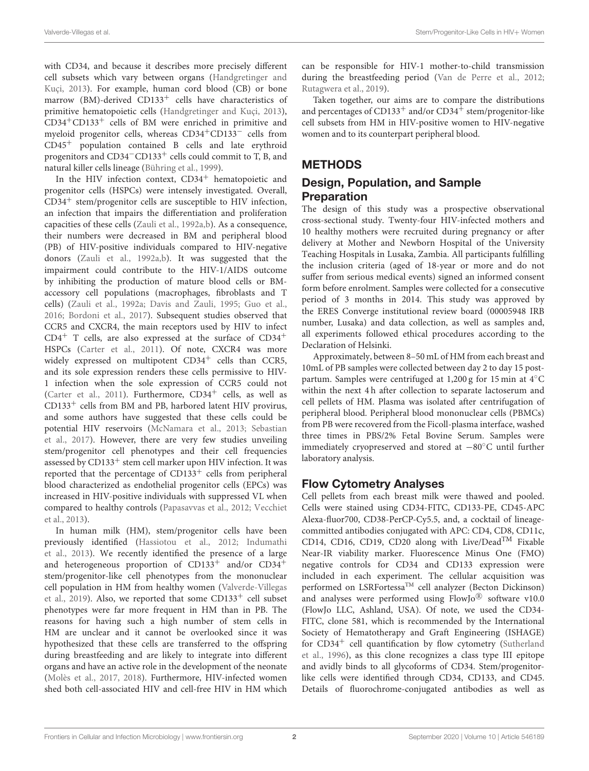with CD34, and because it describes more precisely different cell subsets which vary between organs (Handgretinger and Kuçi, [2013\)](#page-8-2). For example, human cord blood (CB) or bone marrow (BM)-derived  $CD133<sup>+</sup>$  cells have characteristics of primitive hematopoietic cells [\(Handgretinger and Kuçi, 2013\)](#page-8-2), CD34+CD133<sup>+</sup> cells of BM were enriched in primitive and myeloid progenitor cells, whereas CD34+CD133<sup>−</sup> cells from CD45<sup>+</sup> population contained B cells and late erythroid progenitors and CD34−CD133<sup>+</sup> cells could commit to T, B, and natural killer cells lineage [\(Bühring et al., 1999\)](#page-8-3).

In the HIV infection context,  $CD34<sup>+</sup>$  hematopoietic and progenitor cells (HSPCs) were intensely investigated. Overall,  $CD34<sup>+</sup>$  stem/progenitor cells are susceptible to HIV infection, an infection that impairs the differentiation and proliferation capacities of these cells [\(Zauli et al., 1992a,](#page-9-0)[b\)](#page-9-1). As a consequence, their numbers were decreased in BM and peripheral blood (PB) of HIV-positive individuals compared to HIV-negative donors [\(Zauli et al., 1992a](#page-9-0)[,b\)](#page-9-1). It was suggested that the impairment could contribute to the HIV-1/AIDS outcome by inhibiting the production of mature blood cells or BMaccessory cell populations (macrophages, fibroblasts and T cells) [\(Zauli et al., 1992a;](#page-9-0) [Davis and Zauli, 1995;](#page-8-4) [Guo et al.,](#page-8-5) [2016;](#page-8-5) [Bordoni et al., 2017\)](#page-8-6). Subsequent studies observed that CCR5 and CXCR4, the main receptors used by HIV to infect  $CD4^+$  T cells, are also expressed at the surface of  $CD34^+$ HSPCs [\(Carter et al., 2011\)](#page-8-7). Of note, CXCR4 was more widely expressed on multipotent  $CD34<sup>+</sup>$  cells than CCR5, and its sole expression renders these cells permissive to HIV-1 infection when the sole expression of CCR5 could not [\(Carter et al., 2011\)](#page-8-7). Furthermore,  $CD34<sup>+</sup>$  cells, as well as  $CD133<sup>+</sup>$  cells from BM and PB, harbored latent HIV provirus, and some authors have suggested that these cells could be potential HIV reservoirs [\(McNamara et al., 2013;](#page-8-8) Sebastian et al., [2017\)](#page-8-9). However, there are very few studies unveiling stem/progenitor cell phenotypes and their cell frequencies assessed by CD133<sup>+</sup> stem cell marker upon HIV infection. It was reported that the percentage of  $CD133<sup>+</sup>$  cells from peripheral blood characterized as endothelial progenitor cells (EPCs) was increased in HIV-positive individuals with suppressed VL when compared to healthy controls [\(Papasavvas et al., 2012;](#page-8-10) Vecchiet et al., [2013\)](#page-8-11).

In human milk (HM), stem/progenitor cells have been previously identified [\(Hassiotou et al., 2012;](#page-8-12) Indumathi et al., [2013\)](#page-8-13). We recently identified the presence of a large and heterogeneous proportion of CD133<sup>+</sup> and/or CD34<sup>+</sup> stem/progenitor-like cell phenotypes from the mononuclear cell population in HM from healthy women (Valverde-Villegas et al., [2019\)](#page-8-14). Also, we reported that some  $CD133<sup>+</sup>$  cell subset phenotypes were far more frequent in HM than in PB. The reasons for having such a high number of stem cells in HM are unclear and it cannot be overlooked since it was hypothesized that these cells are transferred to the offspring during breastfeeding and are likely to integrate into different organs and have an active role in the development of the neonate [\(Molès et al., 2017,](#page-8-15) [2018\)](#page-8-16). Furthermore, HIV-infected women shed both cell-associated HIV and cell-free HIV in HM which

can be responsible for HIV-1 mother-to-child transmission during the breastfeeding period [\(Van de Perre et al., 2012;](#page-8-17) [Rutagwera et al., 2019\)](#page-8-18).

Taken together, our aims are to compare the distributions and percentages of  $CD133^+$  and/or  $CD34^+$  stem/progenitor-like cell subsets from HM in HIV-positive women to HIV-negative women and to its counterpart peripheral blood.

#### **METHODS**

#### Design, Population, and Sample **Preparation**

The design of this study was a prospective observational cross-sectional study. Twenty-four HIV-infected mothers and 10 healthy mothers were recruited during pregnancy or after delivery at Mother and Newborn Hospital of the University Teaching Hospitals in Lusaka, Zambia. All participants fulfilling the inclusion criteria (aged of 18-year or more and do not suffer from serious medical events) signed an informed consent form before enrolment. Samples were collected for a consecutive period of 3 months in 2014. This study was approved by the ERES Converge institutional review board (00005948 IRB number, Lusaka) and data collection, as well as samples and, all experiments followed ethical procedures according to the Declaration of Helsinki.

Approximately, between 8–50 mL of HM from each breast and 10mL of PB samples were collected between day 2 to day 15 postpartum. Samples were centrifuged at 1,200 g for 15 min at 4◦C within the next 4 h after collection to separate lactoserum and cell pellets of HM. Plasma was isolated after centrifugation of peripheral blood. Peripheral blood mononuclear cells (PBMCs) from PB were recovered from the Ficoll-plasma interface, washed three times in PBS/2% Fetal Bovine Serum. Samples were immediately cryopreserved and stored at −80◦C until further laboratory analysis.

#### Flow Cytometry Analyses

Cell pellets from each breast milk were thawed and pooled. Cells were stained using CD34-FITC, CD133-PE, CD45-APC Alexa-fluor700, CD38-PerCP-Cy5.5, and, a cocktail of lineagecommitted antibodies conjugated with APC: CD4, CD8, CD11c, CD14, CD16, CD19, CD20 along with Live/Dead<sup>TM</sup> Fixable Near-IR viability marker. Fluorescence Minus One (FMO) negative controls for CD34 and CD133 expression were included in each experiment. The cellular acquisition was performed on LSRFortessaTM cell analyzer (Becton Dickinson) and analyses were performed using FlowJo® software v10.0 (FlowJo LLC, Ashland, USA). Of note, we used the CD34- FITC, clone 581, which is recommended by the International Society of Hematotherapy and Graft Engineering (ISHAGE) for  $CD34<sup>+</sup>$  cell quantification by flow cytometry (Sutherland et al., [1996\)](#page-8-19), as this clone recognizes a class type III epitope and avidly binds to all glycoforms of CD34. Stem/progenitorlike cells were identified through CD34, CD133, and CD45. Details of fluorochrome-conjugated antibodies as well as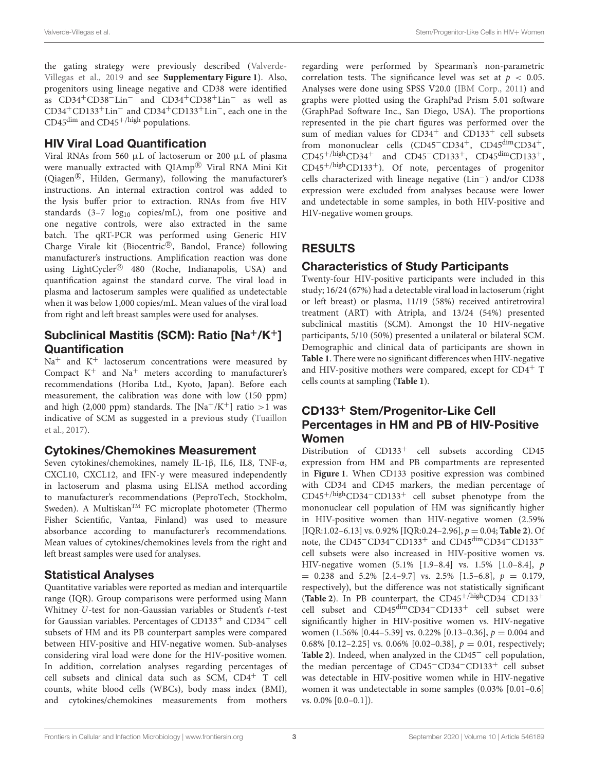the gating strategy were previously described (Valverde-Villegas et al., [2019](#page-8-14) and see **[Supplementary Figure 1](#page-8-20)**). Also, progenitors using lineage negative and CD38 were identified as CD34+CD38−Lin<sup>−</sup> and CD34+CD38+Lin<sup>−</sup> as well as CD34+CD133+Lin<sup>−</sup> and CD34+CD133+Lin−, each one in the CD45 $\text{dim}$  and CD45 $^{+/high}$  populations.

#### HIV Viral Load Quantification

Viral RNAs from 560 µL of lactoserum or 200 µL of plasma were manually extracted with QIAmp® Viral RNA Mini Kit (Qiagen®, Hilden, Germany), following the manufacturer's instructions. An internal extraction control was added to the lysis buffer prior to extraction. RNAs from five HIV standards  $(3-7 \log_{10} \text{ copies/mL})$ , from one positive and one negative controls, were also extracted in the same batch. The qRT-PCR was performed using Generic HIV Charge Virale kit (Biocentric®, Bandol, France) following manufacturer's instructions. Amplification reaction was done using LightCycler® 480 (Roche, Indianapolis, USA) and quantification against the standard curve. The viral load in plasma and lactoserum samples were qualified as undetectable when it was below 1,000 copies/mL. Mean values of the viral load from right and left breast samples were used for analyses.

#### Subclinical Mastitis (SCM): Ratio [Na+/K+] **Quantification**

 $\mathrm{Na}^+$  and  $\mathrm{K}^+$  lactoserum concentrations were measured by Compact  $K^+$  and  $Na^+$  meters according to manufacturer's recommendations (Horiba Ltd., Kyoto, Japan). Before each measurement, the calibration was done with low (150 ppm) and high (2,000 ppm) standards. The [Na<sup>+</sup>/K<sup>+</sup>] ratio >1 was indicative of SCM as suggested in a previous study (Tuaillon et al., [2017\)](#page-8-21).

#### Cytokines/Chemokines Measurement

Seven cytokines/chemokines, namely IL-1β, IL6, IL8, TNF-α, CXCL10, CXCL12, and IFN-γ were measured independently in lactoserum and plasma using ELISA method according to manufacturer's recommendations (PeproTech, Stockholm, Sweden). A Multiskan™ FC microplate photometer (Thermo Fisher Scientific, Vantaa, Finland) was used to measure absorbance according to manufacturer's recommendations. Mean values of cytokines/chemokines levels from the right and left breast samples were used for analyses.

#### Statistical Analyses

Quantitative variables were reported as median and interquartile range (IQR). Group comparisons were performed using Mann Whitney U-test for non-Gaussian variables or Student's t-test for Gaussian variables. Percentages of CD133<sup>+</sup> and CD34<sup>+</sup> cell subsets of HM and its PB counterpart samples were compared between HIV-positive and HIV-negative women. Sub-analyses considering viral load were done for the HIV-positive women. In addition, correlation analyses regarding percentages of cell subsets and clinical data such as SCM, CD4<sup>+</sup> T cell counts, white blood cells (WBCs), body mass index (BMI), and cytokines/chemokines measurements from mothers regarding were performed by Spearman's non-parametric correlation tests. The significance level was set at  $p < 0.05$ . Analyses were done using SPSS V20.0 [\(IBM Corp., 2011\)](#page-8-22) and graphs were plotted using the GraphPad Prism 5.01 software (GraphPad Software Inc., San Diego, USA). The proportions represented in the pie chart figures was performed over the sum of median values for CD34<sup>+</sup> and CD133<sup>+</sup> cell subsets from mononuclear cells (CD45−CD34+, CD45dimCD34+,  $CD45^{+/high}CD34^+$  and  $CD45$ <sup>-</sup>CD133<sup>+</sup>, CD45<sup>dim</sup>CD133<sup>+</sup>,  $CD45^{+/high}CD133^{+}$ ). Of note, percentages of progenitor cells characterized with lineage negative (Lin−) and/or CD38 expression were excluded from analyses because were lower and undetectable in some samples, in both HIV-positive and HIV-negative women groups.

## RESULTS

#### Characteristics of Study Participants

Twenty-four HIV-positive participants were included in this study; 16/24 (67%) had a detectable viral load in lactoserum (right or left breast) or plasma, 11/19 (58%) received antiretroviral treatment (ART) with Atripla, and 13/24 (54%) presented subclinical mastitis (SCM). Amongst the 10 HIV-negative participants, 5/10 (50%) presented a unilateral or bilateral SCM. Demographic and clinical data of participants are shown in **[Table 1](#page-4-0)**. There were no significant differences when HIV-negative and HIV-positive mothers were compared, except for CD4<sup>+</sup> T cells counts at sampling (**[Table 1](#page-4-0)**).

#### CD133<sup>+</sup> Stem/Progenitor-Like Cell Percentages in HM and PB of HIV-Positive Women

Distribution of CD133<sup>+</sup> cell subsets according CD45 expression from HM and PB compartments are represented in **[Figure 1](#page-4-1)**. When CD133 positive expression was combined with CD34 and CD45 markers, the median percentage of CD45+/highCD34−CD133<sup>+</sup> cell subset phenotype from the mononuclear cell population of HM was significantly higher in HIV-positive women than HIV-negative women (2.59% [IQR:1.02–6.13] vs. 0.92% [IQR:0.24–2.96],  $p = 0.04$ ; **[Table 2](#page-5-0)**). Of note, the CD45−CD34−CD133<sup>+</sup> and CD45dimCD34−CD133<sup>+</sup> cell subsets were also increased in HIV-positive women vs. HIV-negative women (5.1% [1.9–8.4] vs. 1.5% [1.0–8.4], p  $= 0.238$  and 5.2% [2.4-9.7] vs. 2.5% [1.5-6.8],  $p = 0.179$ , respectively), but the difference was not statistically significant ([Table 2](#page-5-0)). In PB counterpart, the CD45<sup>+/high</sup>CD34<sup>-</sup>CD133<sup>+</sup> cell subset and CD45dimCD34−CD133<sup>+</sup> cell subset were significantly higher in HIV-positive women vs. HIV-negative women (1.56% [0.44–5.39] vs. 0.22% [0.13–0.36],  $p = 0.004$  and 0.68%  $[0.12-2.25]$  vs. 0.06%  $[0.02-0.38]$ ,  $p = 0.01$ , respectively; **[Table 2](#page-5-0)**). Indeed, when analyzed in the CD45<sup>−</sup> cell population, the median percentage of CD45−CD34−CD133<sup>+</sup> cell subset was detectable in HIV-positive women while in HIV-negative women it was undetectable in some samples (0.03% [0.01–0.6] vs. 0.0% [0.0–0.1]).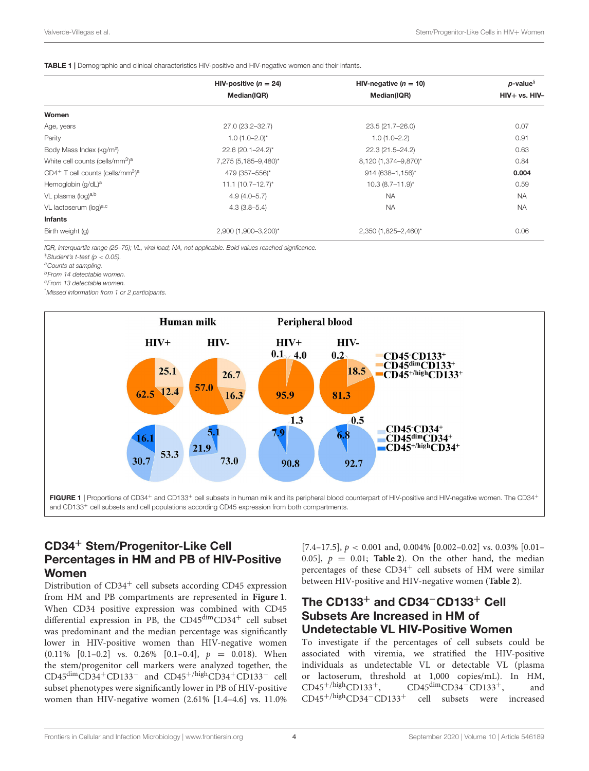#### <span id="page-4-0"></span>TABLE 1 | Demographic and clinical characteristics HIV-positive and HIV-negative women and their infants.

|                                                             | HIV-positive $(n = 24)$ | HIV-negative ( $n = 10$ ) | $p$ -value $\frac{8}{3}$ |  |
|-------------------------------------------------------------|-------------------------|---------------------------|--------------------------|--|
|                                                             | Median(IQR)             | Median(IQR)               | $HIV+vs. HIV-$           |  |
| Women                                                       |                         |                           |                          |  |
| Age, years                                                  | 27.0 (23.2-32.7)        | 23.5 (21.7-26.0)          | 0.07                     |  |
| Parity                                                      | $1.0(1.0-2.0)^{*}$      | $1.0(1.0 - 2.2)$          | 0.91                     |  |
| Body Mass Index (kg/m <sup>2</sup> )                        | 22.6 (20.1-24.2)*       | 22.3 (21.5-24.2)          | 0.63                     |  |
| White cell counts (cells/mm <sup>3</sup> ) <sup>a</sup>     | 7,275 (5,185-9,480)*    | 8,120 (1,374-9,870)*      | 0.84                     |  |
| $CD4^+$ T cell counts (cells/mm <sup>3</sup> ) <sup>a</sup> | 479 (357-556)*          | 914 (638-1,156)*          | 0.004                    |  |
| Hemoglobin (g/dL) <sup>a</sup>                              | $11.1 (10.7 - 12.7)^*$  | $10.3(8.7 - 11.9)^{*}$    | 0.59                     |  |
| VL plasma (log) <sup>a,b</sup>                              | $4.9(4.0 - 5.7)$        | <b>NA</b>                 | <b>NA</b>                |  |
| VL lactoserum (log)a,c                                      | $4.3(3.8-5.4)$          | <b>NA</b>                 | <b>NA</b>                |  |
| <b>Infants</b>                                              |                         |                           |                          |  |
| Birth weight (g)                                            | 2,900 (1,900-3,200)*    | 2,350 (1,825-2,460)*      | 0.06                     |  |

IQR, interquartile range (25–75); VL, viral load; NA, not applicable. Bold values reached signficance.

 $§$ Student's t-test (p < 0.05).

<sup>a</sup>Counts at sampling.

<sup>b</sup>From 14 detectable women.

<sup>c</sup>From 13 detectable women.

\*Missed information from 1 or 2 participants.



#### <span id="page-4-1"></span>CD34<sup>+</sup> Stem/Progenitor-Like Cell Percentages in HM and PB of HIV-Positive Women

Distribution of  $CD34<sup>+</sup>$  cell subsets according CD45 expression from HM and PB compartments are represented in **[Figure 1](#page-4-1)**. When CD34 positive expression was combined with CD45 differential expression in PB, the  $CD45<sup>dim</sup>CD34<sup>+</sup>$  cell subset was predominant and the median percentage was significantly lower in HIV-positive women than HIV-negative women  $(0.11\%$   $[0.1-0.2]$  vs. 0.26%  $[0.1-0.4]$ ,  $p = 0.018$ ). When the stem/progenitor cell markers were analyzed together, the CD45dimCD34+CD133<sup>−</sup> and CD45+/highCD34+CD133<sup>−</sup> cell subset phenotypes were significantly lower in PB of HIV-positive women than HIV-negative women (2.61% [1.4–4.6] vs. 11.0% [7.4–17.5],  $p < 0.001$  and, 0.004% [0.002–0.02] vs. 0.03% [0.01– 0.05],  $p = 0.01$ ; **[Table 2](#page-5-0)**). On the other hand, the median percentages of these  $CD34<sup>+</sup>$  cell subsets of HM were similar between HIV-positive and HIV-negative women (**[Table 2](#page-5-0)**).

#### The CD133<sup>+</sup> and CD34−CD133<sup>+</sup> Cell Subsets Are Increased in HM of Undetectable VL HIV-Positive Women

To investigate if the percentages of cell subsets could be associated with viremia, we stratified the HIV-positive individuals as undetectable VL or detectable VL (plasma or lactoserum, threshold at 1,000 copies/mL). In HM,<br>CD45<sup>+/high</sup>CD133<sup>+</sup>, CD45<sup>dim</sup>CD34<sup>-</sup>CD133<sup>+</sup>, and  $CD45^{dim}CD34$ <sup>-</sup>CD133<sup>+</sup>, and CD45+/highCD34−CD133<sup>+</sup> cell subsets were increased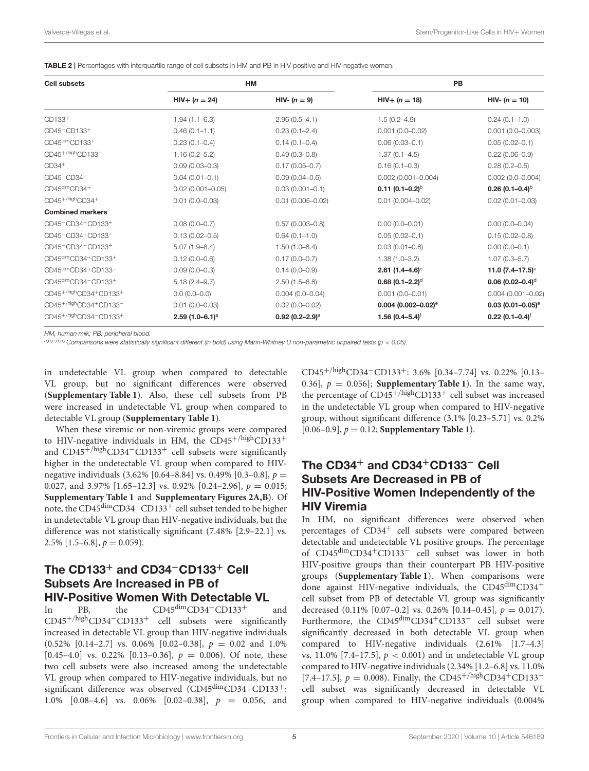<span id="page-5-0"></span>TABLE 2 | Percentages with interquartile range of cell subsets in HM and PB in HIV-positive and HIV-negative women.

| <b>Cell subsets</b>                                         |                               | HM                   | PB                                |                                 |  |
|-------------------------------------------------------------|-------------------------------|----------------------|-----------------------------------|---------------------------------|--|
|                                                             | $HIV+ (n = 24)$               | HIV- $(n = 9)$       | $HIV+ (n = 18)$                   | HIV- $(n = 10)$                 |  |
| CD133 <sup>+</sup>                                          | $1.94(1.1 - 6.3)$             | $2.96(0.5 - 4.1)$    | $1.5(0.2 - 4.9)$                  | $0.24(0.1-1.0)$                 |  |
| CD45-CD133+                                                 | $0.46(0.1 - 1.1)$             | $0.23(0.1 - 2.4)$    | $0.001(0.0 - 0.02)$               | $0.001(0.0 - 0.003)$            |  |
| CD45dimCD133+                                               | $0.23(0.1 - 0.4)$             | $0.14(0.1 - 0.4)$    | $0.06(0.03 - 0.1)$                | $0.05(0.02 - 0.1)$              |  |
| CD45 <sup>+/high</sup> CD133 <sup>+</sup>                   | $1.16(0.2 - 5.2)$             | $0.49(0.3 - 0.8)$    | $1.37(0.1 - 4.5)$                 | $0.22(0.06 - 0.9)$              |  |
| $CD34+$                                                     | $0.09(0.03 - 0.3)$            | $0.17(0.05 - 0.7)$   | $0.16(0.1 - 0.3)$                 | $0.28(0.2 - 0.5)$               |  |
| CD45-CD34+                                                  | $0.04(0.01 - 0.1)$            | $0.09(0.04 - 0.6)$   | $0.002$ (0.001-0.004)             | $0.002(0.0 - 0.004)$            |  |
| $CD45dimCD34+$                                              | $0.02(0.001 - 0.05)$          | $0.03(0.001 - 0.1)$  | $0.11$ (0.1–0.2) <sup>b</sup>     | 0.26 $(0.1 - 0.4)^{b}$          |  |
| CD45 <sup>+/high</sup> CD34 <sup>+</sup>                    | $0.01(0.0 - 0.03)$            | $0.01(0.005 - 0.02)$ | $0.01(0.004 - 0.02)$              | $0.02(0.01 - 0.03)$             |  |
| <b>Combined markers</b>                                     |                               |                      |                                   |                                 |  |
| CD45 <sup>-</sup> CD34 <sup>+</sup> CD133 <sup>+</sup>      | $0.08(0.0 - 0.7)$             | $0.57(0.003 - 0.8)$  | $0.00(0.0 - 0.01)$                | $0.00(0.0 - 0.04)$              |  |
| CD45 <sup>-</sup> CD34 <sup>+</sup> CD133 <sup>-</sup>      | $0.13(0.02 - 0.5)$            | $0.64(0.1-1.0)$      | $0.05(0.02 - 0.1)$                | $0.15(0.02 - 0.8)$              |  |
| CD45-CD34-CD133+                                            | $5.07(1.9 - 8.4)$             | $1.50(1.0 - 8.4)$    | $0.03(0.01 - 0.6)$                | $0.00(0.0 - 0.1)$               |  |
| CD45dimCD34+CD133+                                          | $0.12(0.0 - 0.6)$             | $0.17(0.0 - 0.7)$    | $1.38(1.0 - 3.2)$                 | $1.07(0.3 - 5.7)$               |  |
| CD45dimCD34+CD133-                                          | $0.09(0.0 - 0.3)$             | $0.14(0.0 - 0.9)$    | $2.61$ (1.4-4.6) <sup>c</sup>     | 11.0 $(7.4 - 17.5)$ °           |  |
| CD45dimCD34-CD133+                                          | $5.18(2.4 - 9.7)$             | $2.50(1.5-6.8)$      | $0.68(0.1 - 2.2)^d$               | $0.06$ (0.02–0.4) <sup>d</sup>  |  |
| CD45+/highCD34+CD133+                                       | $0.0(0.0-0.0)$                | $0.004(0.0 - 0.04)$  | $0.001(0.0 - 0.01)$               | $0.004(0.001 - 0.02)$           |  |
| CD45 <sup>+/high</sup> CD34 <sup>+</sup> CD133 <sup>-</sup> | $0.01(0.0 - 0.03)$            | $0.02(0.0 - 0.02)$   | $0.004$ (0.002-0.02) <sup>e</sup> | $0.03$ (0.01-0.05) <sup>e</sup> |  |
| CD45 <sup>+/high</sup> CD34 <sup>-</sup> CD133 <sup>+</sup> | 2.59 $(1.0-6.1)$ <sup>a</sup> | 0.92 $(0.2 - 2.9)^a$ | 1.56 $(0.4 - 5.4)$ <sup>†</sup>   | $0.22(0.1 - 0.4)^{\dagger}$     |  |

HM, human milk; PB, peripheral blood.

a,b,c,d,e,f Comparisons were statistically significant different (in bold) using Mann-Whitney U non-parametric unpaired tests (p < 0.05).

in undetectable VL group when compared to detectable VL group, but no significant differences were observed (**[Supplementary Table 1](#page-8-20)**). Also, these cell subsets from PB were increased in undetectable VL group when compared to detectable VL group (**[Supplementary Table 1](#page-8-20)**).

When these viremic or non-viremic groups were compared to HIV-negative individuals in HM, the  $CD45^{+/high}CD133^{+}$ and CD45<sup>+/high</sup>CD34<sup>-</sup>CD133<sup>+</sup> cell subsets were significantly higher in the undetectable VL group when compared to HIVnegative individuals  $(3.62\% \, [0.64-8.84] \, \text{vs. } 0.49\% \, [0.3-0.8], \, p =$ 0.027, and 3.97% [1.65–12.3] vs. 0.92% [0.24–2.96],  $p = 0.015$ ; **[Supplementary Table 1](#page-8-20)** and **[Supplementary Figures 2A,B](#page-8-20)**). Of note, the CD45<sup>dim</sup>CD34<sup>−</sup>CD133<sup>+</sup> cell subset tended to be higher in undetectable VL group than HIV-negative individuals, but the difference was not statistically significant (7.48% [2.9–22.1] vs. 2.5%  $[1.5-6.8], p = 0.059$ .

#### The CD133<sup>+</sup> and CD34−CD133<sup>+</sup> Cell Subsets Are Increased in PB of HIV-Positive Women With Detectable VL

In PB, the CD45dimCD34−CD133<sup>+</sup> and CD45+/highCD34−CD133<sup>+</sup> cell subsets were significantly increased in detectable VL group than HIV-negative individuals (0.52% [0.14-2.7] vs. 0.06% [0.02-0.38],  $p = 0.02$  and 1.0% [0.45–4.0] vs. 0.22% [0.13–0.36],  $p = 0.006$ ). Of note, these two cell subsets were also increased among the undetectable VL group when compared to HIV-negative individuals, but no significant difference was observed (CD45<sup>dim</sup>CD34<sup>−</sup>CD133<sup>+</sup>: 1.0% [0.08–4.6] vs. 0.06% [0.02–0.38], p = 0.056, and CD45<sup>+/high</sup>CD34<sup>-</sup>CD133<sup>+</sup>: 3.6% [0.34–7.74] vs. 0.22% [0.13– 0.36],  $p = 0.056$ ]; **[Supplementary Table 1](#page-8-20)**). In the same way, the percentage of  $CD45^{+/high}CD133^{+}$  cell subset was increased in the undetectable VL group when compared to HIV-negative group, without significant difference (3.1% [0.23–5.71] vs. 0.2% [ $0.06-0.9$ ],  $p = 0.12$ ; **[Supplementary Table 1](#page-8-20)**).

#### The CD34<sup>+</sup> and CD34+CD133<sup>−</sup> Cell Subsets Are Decreased in PB of HIV-Positive Women Independently of the HIV Viremia

In HM, no significant differences were observed when percentages of CD34<sup>+</sup> cell subsets were compared between detectable and undetectable VL positive groups. The percentage of CD45dimCD34+CD133<sup>−</sup> cell subset was lower in both HIV-positive groups than their counterpart PB HIV-positive groups (**[Supplementary Table 1](#page-8-20)**). When comparisons were done against HIV-negative individuals, the  $CD45^{\text{dim}}CD34^+$ cell subset from PB of detectable VL group was significantly decreased  $(0.11\% [0.07-0.2]$  vs. 0.26%  $[0.14-0.45]$ ,  $p = 0.017$ ). Furthermore, the CD45dimCD34+CD133<sup>−</sup> cell subset were significantly decreased in both detectable VL group when compared to HIV-negative individuals (2.61% [1.7–4.3] vs. 11.0% [7.4–17.5],  $p < 0.001$ ) and in undetectable VL group compared to HIV-negative individuals (2.34% [1.2–6.8] vs. 11.0% [7.4–17.5],  $p = 0.008$ ). Finally, the CD45<sup>+/high</sup>CD34<sup>+</sup>CD133<sup>-</sup> cell subset was significantly decreased in detectable VL group when compared to HIV-negative individuals (0.004%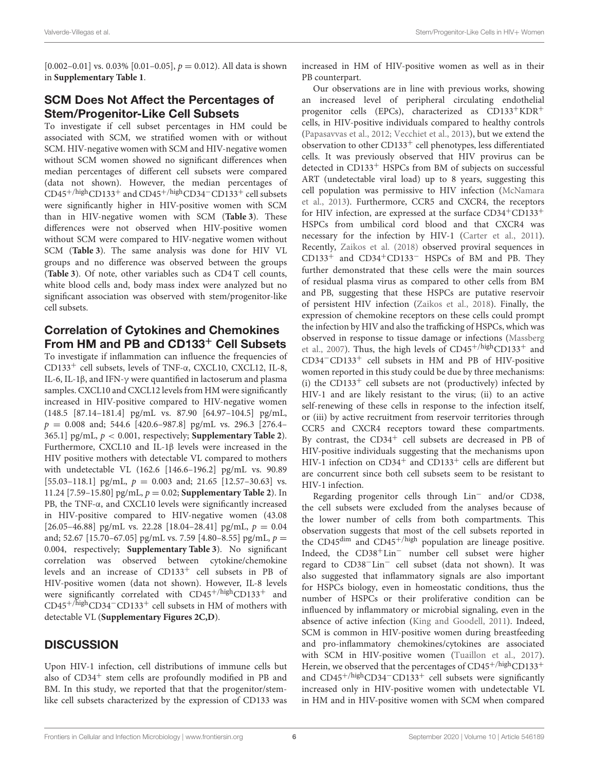[0.002–0.01] vs. 0.03% [0.01–0.05],  $p = 0.012$ ). All data is shown in **[Supplementary Table 1](#page-8-20)**.

#### SCM Does Not Affect the Percentages of Stem/Progenitor-Like Cell Subsets

To investigate if cell subset percentages in HM could be associated with SCM, we stratified women with or without SCM. HIV-negative women with SCM and HIV-negative women without SCM women showed no significant differences when median percentages of different cell subsets were compared (data not shown). However, the median percentages of CD45+/highCD133<sup>+</sup> and CD45+/highCD34−CD133<sup>+</sup> cell subsets were significantly higher in HIV-positive women with SCM than in HIV-negative women with SCM (**[Table 3](#page-7-0)**). These differences were not observed when HIV-positive women without SCM were compared to HIV-negative women without SCM (**[Table 3](#page-7-0)**). The same analysis was done for HIV VL groups and no difference was observed between the groups (**[Table 3](#page-7-0)**). Of note, other variables such as CD4 T cell counts, white blood cells and, body mass index were analyzed but no significant association was observed with stem/progenitor-like cell subsets.

## Correlation of Cytokines and Chemokines From HM and PB and CD133<sup>+</sup> Cell Subsets

To investigate if inflammation can influence the frequencies of CD133<sup>+</sup> cell subsets, levels of TNF-α, CXCL10, CXCL12, IL-8, IL-6, IL-1β, and IFN-γ were quantified in lactoserum and plasma samples. CXCL10 and CXCL12 levels from HM were significantly increased in HIV-positive compared to HIV-negative women (148.5 [87.14–181.4] pg/mL vs. 87.90 [64.97–104.5] pg/mL,  $p = 0.008$  and; 544.6 [420.6-987.8] pg/mL vs. 296.3 [276.4-365.1] pg/mL, p < 0.001, respectively; **[Supplementary Table 2](#page-8-20)**). Furthermore, CXCL10 and IL-1β levels were increased in the HIV positive mothers with detectable VL compared to mothers with undetectable VL (162.6 [146.6–196.2] pg/mL vs. 90.89 [55.03-118.1] pg/mL,  $p = 0.003$  and; 21.65 [12.57-30.63] vs. 11.24 [7.59–15.80] pg/mL, p = 0.02; **[Supplementary Table 2](#page-8-20)**). In PB, the TNF-α, and CXCL10 levels were significantly increased in HIV-positive compared to HIV-negative women (43.08 [26.05–46.88] pg/mL vs. 22.28 [18.04–28.41] pg/mL,  $p = 0.04$ and; 52.67 [15.70–67.05] pg/mL vs. 7.59 [4.80–8.55] pg/mL,  $p =$ 0.004, respectively; **[Supplementary Table 3](#page-8-20)**). No significant correlation was observed between cytokine/chemokine levels and an increase of CD133<sup>+</sup> cell subsets in PB of HIV-positive women (data not shown). However, IL-8 levels were significantly correlated with CD45<sup>+/high</sup>CD133<sup>+</sup> and CD45+/highCD34−CD133<sup>+</sup> cell subsets in HM of mothers with detectable VL (**[Supplementary Figures 2C,D](#page-8-20)**).

#### **DISCUSSION**

Upon HIV-1 infection, cell distributions of immune cells but also of  $CD34<sup>+</sup>$  stem cells are profoundly modified in PB and BM. In this study, we reported that that the progenitor/stemlike cell subsets characterized by the expression of CD133 was increased in HM of HIV-positive women as well as in their PB counterpart.

Our observations are in line with previous works, showing an increased level of peripheral circulating endothelial progenitor cells (EPCs), characterized as CD133+KDR<sup>+</sup> cells, in HIV-positive individuals compared to healthy controls [\(Papasavvas et al., 2012;](#page-8-10) [Vecchiet et al., 2013\)](#page-8-11), but we extend the observation to other  $CD133<sup>+</sup>$  cell phenotypes, less differentiated cells. It was previously observed that HIV provirus can be detected in CD133<sup>+</sup> HSPCs from BM of subjects on successful ART (undetectable viral load) up to 8 years, suggesting this cell population was permissive to HIV infection (McNamara et al., [2013\)](#page-8-8). Furthermore, CCR5 and CXCR4, the receptors for HIV infection, are expressed at the surface  $CD34^+CD133^+$ HSPCs from umbilical cord blood and that CXCR4 was necessary for the infection by HIV-1 [\(Carter et al., 2011\)](#page-8-7). Recently, [Zaikos et al. \(2018\)](#page-9-2) observed proviral sequences in CD133<sup>+</sup> and CD34+CD133<sup>−</sup> HSPCs of BM and PB. They further demonstrated that these cells were the main sources of residual plasma virus as compared to other cells from BM and PB, suggesting that these HSPCs are putative reservoir of persistent HIV infection [\(Zaikos et al., 2018\)](#page-9-2). Finally, the expression of chemokine receptors on these cells could prompt the infection by HIV and also the trafficking of HSPCs, which was observed in response to tissue damage or infections (Massberg et al., [2007\)](#page-8-23). Thus, the high levels of  $CD45^{+/high}CD133^{+}$  and CD34−CD133<sup>+</sup> cell subsets in HM and PB of HIV-positive women reported in this study could be due by three mechanisms: (i) the CD133<sup>+</sup> cell subsets are not (productively) infected by HIV-1 and are likely resistant to the virus; (ii) to an active self-renewing of these cells in response to the infection itself, or (iii) by active recruitment from reservoir territories through CCR5 and CXCR4 receptors toward these compartments. By contrast, the  $CD34<sup>+</sup>$  cell subsets are decreased in PB of HIV-positive individuals suggesting that the mechanisms upon HIV-1 infection on CD34<sup>+</sup> and CD133<sup>+</sup> cells are different but are concurrent since both cell subsets seem to be resistant to HIV-1 infection.

Regarding progenitor cells through Lin<sup>−</sup> and/or CD38, the cell subsets were excluded from the analyses because of the lower number of cells from both compartments. This observation suggests that most of the cell subsets reported in the CD45 $\text{dim}$  and CD45<sup>+/high</sup> population are lineage positive. Indeed, the CD38+Lin<sup>−</sup> number cell subset were higher regard to CD38−Lin<sup>−</sup> cell subset (data not shown). It was also suggested that inflammatory signals are also important for HSPCs biology, even in homeostatic conditions, thus the number of HSPCs or their proliferative condition can be influenced by inflammatory or microbial signaling, even in the absence of active infection [\(King and Goodell, 2011\)](#page-8-24). Indeed, SCM is common in HIV-positive women during breastfeeding and pro-inflammatory chemokines/cytokines are associated with SCM in HIV-positive women [\(Tuaillon et al., 2017\)](#page-8-21). Herein, we observed that the percentages of  $CD45^{+/high}CD133^{+}$ and CD45+/highCD34−CD133<sup>+</sup> cell subsets were significantly increased only in HIV-positive women with undetectable VL in HM and in HIV-positive women with SCM when compared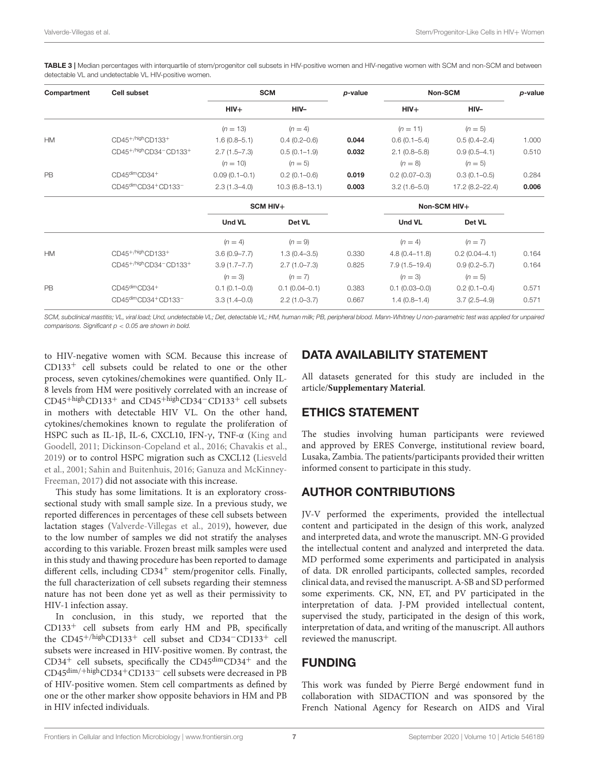<span id="page-7-0"></span>TABLE 3 | Median percentages with interquartile of stem/progenitor cell subsets in HIV-positive women and HIV-negative women with SCM and non-SCM and between detectable VL and undetectable VL HIV-positive women.

| Compartment | <b>Cell subset</b>                                          | <b>SCM</b>        |                    | p-value | Non-SCM           |                  | $p$ -value |
|-------------|-------------------------------------------------------------|-------------------|--------------------|---------|-------------------|------------------|------------|
|             |                                                             | $HIV+$            | HIV-               |         | $HIV+$            | HIV-             |            |
|             |                                                             | $(n = 13)$        | $(n = 4)$          |         | $(n = 11)$        | $(n = 5)$        |            |
| <b>HM</b>   | CD45 <sup>+/high</sup> CD133 <sup>+</sup>                   | $1.6(0.8 - 5.1)$  | $0.4(0.2 - 0.6)$   | 0.044   | $0.6(0.1 - 5.4)$  | $0.5(0.4 - 2.4)$ | 1.000      |
|             | CD45+/highCD34-CD133+                                       | $2.7(1.5 - 7.3)$  | $0.5(0.1-1.9)$     | 0.032   | $2.1(0.8-5.8)$    | $0.9(0.5 - 4.1)$ | 0.510      |
|             |                                                             | $(n = 10)$        | $(n = 5)$          |         | $(n = 8)$         | $(n = 5)$        |            |
| <b>PB</b>   | CD45dimCD34+                                                | $0.09(0.1 - 0.1)$ | $0.2(0.1 - 0.6)$   | 0.019   | $0.2(0.07-0.3)$   | $0.3(0.1 - 0.5)$ | 0.284      |
|             | CD45dimCD34+CD133 <sup>-</sup>                              | $2.3(1.3 - 4.0)$  | $10.3(6.8 - 13.1)$ | 0.003   | $3.2(1.6 - 5.0)$  | 17.2 (8.2-22.4)  | 0.006      |
|             |                                                             | SCM HIV+          |                    |         | Non-SCM HIV+      |                  |            |
|             |                                                             | <b>Und VL</b>     | Det VL             |         | Und VL            | Det VL           |            |
|             |                                                             | $(n = 4)$         | $(n = 9)$          |         | $(n = 4)$         | $(n = 7)$        |            |
| <b>HM</b>   | CD45+/high CD133+                                           | $3.6(0.9 - 7.7)$  | $1.3(0.4 - 3.5)$   | 0.330   | $4.8(0.4 - 11.8)$ | $0.2(0.04-4.1)$  | 0.164      |
|             | CD45 <sup>+/high</sup> CD34 <sup>-</sup> CD133 <sup>+</sup> | $3.9(1.7 - 7.7)$  | $2.7(1.0 - 7.3)$   | 0.825   | $7.9(1.5-19.4)$   | $0.9(0.2 - 5.7)$ | 0.164      |
|             |                                                             | $(n = 3)$         | $(n = 7)$          |         | $(n = 3)$         | $(n = 5)$        |            |
| PB          | CD45dimCD34+                                                | $0.1(0.1-0.0)$    | $0.1(0.04 - 0.1)$  | 0.383   | $0.1(0.03 - 0.0)$ | $0.2(0.1 - 0.4)$ | 0.571      |
|             | CD45dimCD34+CD133 <sup>-</sup>                              | $3.3(1.4 - 0.0)$  | $2.2(1.0 - 3.7)$   | 0.667   | $1.4(0.8-1.4)$    | $3.7(2.5 - 4.9)$ | 0.571      |

SCM, subclinical mastitis; VL, viral load; Und, undetectable VL; Det, detectable VL; HM, human milk; PB, peripheral blood. Mann-Whitney U non-parametric test was applied for unpaired comparisons. Significant  $p < 0.05$  are shown in bold.

to HIV-negative women with SCM. Because this increase of  $CD133<sup>+</sup>$  cell subsets could be related to one or the other process, seven cytokines/chemokines were quantified. Only IL-8 levels from HM were positively correlated with an increase of  $CD45$ <sup>+high</sup>CD133<sup>+</sup> and CD45<sup>+high</sup>CD34<sup>-</sup>CD133<sup>+</sup> cell subsets in mothers with detectable HIV VL. On the other hand, cytokines/chemokines known to regulate the proliferation of HSPC such as IL-1β, IL-6, CXCL10, IFN-γ, TNF-α (King and Goodell, [2011;](#page-8-24) [Dickinson-Copeland et al., 2016;](#page-8-25) [Chavakis et](#page-8-26) al., [2019\)](#page-8-26) or to control HSPC migration such as CXCL12 (Liesveld et al., [2001;](#page-8-27) [Sahin and Buitenhuis, 2016;](#page-8-28) Ganuza and McKinney-Freeman, [2017\)](#page-8-29) did not associate with this increase.

This study has some limitations. It is an exploratory crosssectional study with small sample size. In a previous study, we reported differences in percentages of these cell subsets between lactation stages [\(Valverde-Villegas et al., 2019\)](#page-8-14), however, due to the low number of samples we did not stratify the analyses according to this variable. Frozen breast milk samples were used in this study and thawing procedure has been reported to damage different cells, including  $CD34<sup>+</sup>$  stem/progenitor cells. Finally, the full characterization of cell subsets regarding their stemness nature has not been done yet as well as their permissivity to HIV-1 infection assay.

In conclusion, in this study, we reported that the  $CD133<sup>+</sup>$  cell subsets from early HM and PB, specifically the CD45+/highCD133<sup>+</sup> cell subset and CD34−CD133<sup>+</sup> cell subsets were increased in HIV-positive women. By contrast, the  $CD34<sup>+</sup>$  cell subsets, specifically the  $CD45<sup>dim</sup>CD34<sup>+</sup>$  and the  ${\rm CD45^{dim}/+high}{\rm CD34^{+}CD133^{-}}$  cell subsets were decreased in PB of HIV-positive women. Stem cell compartments as defined by one or the other marker show opposite behaviors in HM and PB in HIV infected individuals.

## DATA AVAILABILITY STATEMENT

All datasets generated for this study are included in the article/**[Supplementary Material](#page-8-20)**.

#### ETHICS STATEMENT

The studies involving human participants were reviewed and approved by ERES Converge, institutional review board, Lusaka, Zambia. The patients/participants provided their written informed consent to participate in this study.

## AUTHOR CONTRIBUTIONS

JV-V performed the experiments, provided the intellectual content and participated in the design of this work, analyzed and interpreted data, and wrote the manuscript. MN-G provided the intellectual content and analyzed and interpreted the data. MD performed some experiments and participated in analysis of data. DR enrolled participants, collected samples, recorded clinical data, and revised the manuscript. A-SB and SD performed some experiments. CK, NN, ET, and PV participated in the interpretation of data. J-PM provided intellectual content, supervised the study, participated in the design of this work, interpretation of data, and writing of the manuscript. All authors reviewed the manuscript.

#### FUNDING

This work was funded by Pierre Bergé endowment fund in collaboration with SIDACTION and was sponsored by the French National Agency for Research on AIDS and Viral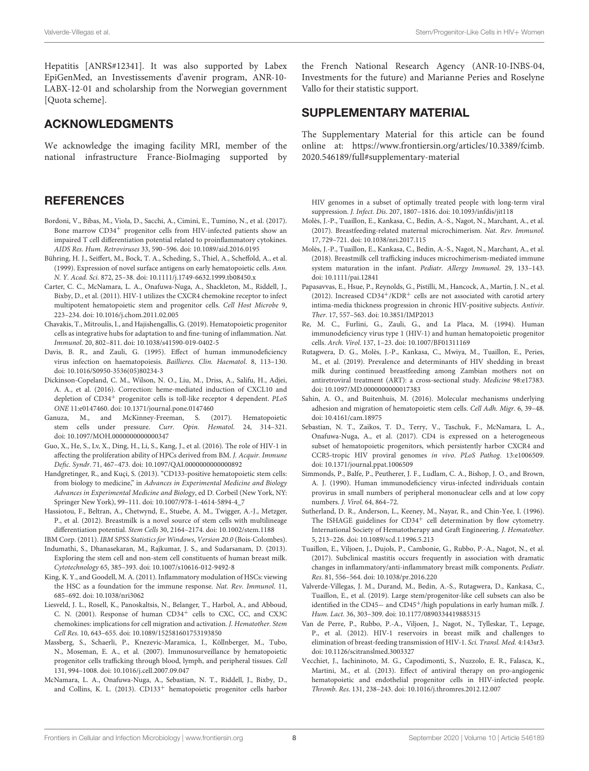Hepatitis [ANRS#12341]. It was also supported by Labex EpiGenMed, an Investissements d'avenir program, ANR-10- LABX-12-01 and scholarship from the Norwegian government [Quota scheme].

#### ACKNOWLEDGMENTS

We acknowledge the imaging facility MRI, member of the national infrastructure France-BioImaging supported by

#### **REFERENCES**

- <span id="page-8-6"></span>Bordoni, V., Bibas, M., Viola, D., Sacchi, A., Cimini, E., Tumino, N., et al. (2017). Bone marrow CD34<sup>+</sup> progenitor cells from HIV-infected patients show an impaired T cell differentiation potential related to proinflammatory cytokines. AIDS Res. Hum. Retroviruses 33, 590–596. doi: [10.1089/aid.2016.0195](https://doi.org/10.1089/aid.2016.0195)
- <span id="page-8-3"></span>Bühring, H. J., Seiffert, M., Bock, T. A., Scheding, S., Thiel, A., Scheffold, A., et al. (1999). Expression of novel surface antigens on early hematopoietic cells. Ann. N. Y. Acad. Sci. 872, 25–38. doi: [10.1111/j.1749-6632.1999.tb08450.x](https://doi.org/10.1111/j.1749-6632.1999.tb08450.x)
- <span id="page-8-7"></span>Carter, C. C., McNamara, L. A., Onafuwa-Nuga, A., Shackleton, M., Riddell, J., Bixby, D., et al. (2011). HIV-1 utilizes the CXCR4 chemokine receptor to infect multipotent hematopoietic stem and progenitor cells. Cell Host Microbe 9, 223–234. doi: [10.1016/j.chom.2011.02.005](https://doi.org/10.1016/j.chom.2011.02.005)
- <span id="page-8-26"></span>Chavakis, T., Mitroulis, I., and Hajishengallis, G. (2019). Hematopoietic progenitor cells as integrative hubs for adaptation to and fine-tuning of inflammation. Nat. Immunol. 20, 802–811. doi: [10.1038/s41590-019-0402-5](https://doi.org/10.1038/s41590-019-0402-5)
- <span id="page-8-4"></span>Davis, B. R., and Zauli, G. (1995). Effect of human immunodeficiency virus infection on haematopoiesis. Baillieres. Clin. Haematol. 8, 113–130. doi: [10.1016/S0950-3536\(05\)80234-3](https://doi.org/10.1016/S0950-3536(05)80234-3)
- <span id="page-8-25"></span>Dickinson-Copeland, C. M., Wilson, N. O., Liu, M., Driss, A., Salifu, H., Adjei, A. A., et al. (2016). Correction: heme-mediated induction of CXCL10 and depletion of CD34<sup>+</sup> progenitor cells is toll-like receptor 4 dependent. PLoS ONE 11:e0147460. doi: [10.1371/journal.pone.0147460](https://doi.org/10.1371/journal.pone.0147460)
- <span id="page-8-29"></span>Ganuza, M., and McKinney-Freeman, S. (2017). Hematopoietic stem cells under pressure. Curr. Opin. Hematol. 24, 314–321. doi: [10.1097/MOH.0000000000000347](https://doi.org/10.1097/MOH.0000000000000347)
- <span id="page-8-5"></span>Guo, X., He, S., Lv, X., Ding, H., Li, S., Kang, J., et al. (2016). The role of HIV-1 in affecting the proliferation ability of HPCs derived from BM. J. Acquir. Immune Defic. Syndr. 71, 467–473. doi: [10.1097/QAI.0000000000000892](https://doi.org/10.1097/QAI.0000000000000892)
- <span id="page-8-2"></span>Handgretinger, R., and Kuçi, S. (2013). "CD133-positive hematopoietic stem cells: from biology to medicine," in Advances in Experimental Medicine and Biology Advances in Experimental Medicine and Biology, ed D. Corbeil (New York, NY: Springer New York), 99–111. doi: [10.1007/978-1-4614-5894-4\\_7](https://doi.org/10.1007/978-1-4614-5894-4_7)
- <span id="page-8-12"></span>Hassiotou, F., Beltran, A., Chetwynd, E., Stuebe, A. M., Twigger, A.-J., Metzger, P., et al. (2012). Breastmilk is a novel source of stem cells with multilineage differentiation potential. Stem Cells 30, 2164–2174. doi: [10.1002/stem.1188](https://doi.org/10.1002/stem.1188)
- <span id="page-8-22"></span>IBM Corp. (2011). IBM SPSS Statistics for Windows, Version 20.0 (Bois-Colombes).
- <span id="page-8-13"></span>Indumathi, S., Dhanasekaran, M., Rajkumar, J. S., and Sudarsanam, D. (2013). Exploring the stem cell and non-stem cell constituents of human breast milk. Cytotechnology 65, 385–393. doi: [10.1007/s10616-012-9492-8](https://doi.org/10.1007/s10616-012-9492-8)
- <span id="page-8-24"></span>King, K. Y., and Goodell, M. A. (2011). Inflammatory modulation of HSCs: viewing the HSC as a foundation for the immune response. Nat. Rev. Immunol. 11, 685–692. doi: [10.1038/nri3062](https://doi.org/10.1038/nri3062)
- <span id="page-8-27"></span>Liesveld, J. L., Rosell, K., Panoskaltsis, N., Belanger, T., Harbol, A., and Abboud, C. N. (2001). Response of human CD34<sup>+</sup> cells to CXC, CC, and CX3C chemokines: implications for cell migration and activation. J. Hematother. Stem Cell Res. 10, 643–655. doi: [10.1089/152581601753193850](https://doi.org/10.1089/152581601753193850)
- <span id="page-8-23"></span>Massberg, S., Schaerli, P., Knezevic-Maramica, I., Köllnberger, M., Tubo, N., Moseman, E. A., et al. (2007). Immunosurveillance by hematopoietic progenitor cells trafficking through blood, lymph, and peripheral tissues. Cell 131, 994–1008. doi: [10.1016/j.cell.2007.09.047](https://doi.org/10.1016/j.cell.2007.09.047)
- <span id="page-8-8"></span>McNamara, L. A., Onafuwa-Nuga, A., Sebastian, N. T., Riddell, J., Bixby, D., and Collins, K. L. (2013). CD133<sup>+</sup> hematopoietic progenitor cells harbor

the French National Research Agency (ANR-10-INBS-04, Investments for the future) and Marianne Peries and Roselyne Vallo for their statistic support.

#### SUPPLEMENTARY MATERIAL

<span id="page-8-20"></span>The Supplementary Material for this article can be found [online at: https://www.frontiersin.org/articles/10.3389/fcimb.](https://www.frontiersin.org/articles/10.3389/fcimb.2020.546189/full#supplementary-material) 2020.546189/full#supplementary-material

HIV genomes in a subset of optimally treated people with long-term viral suppression. J. Infect. Dis. 207, 1807–1816. doi: [10.1093/infdis/jit118](https://doi.org/10.1093/infdis/jit118)

- <span id="page-8-15"></span>Molès, J.-P., Tuaillon, E., Kankasa, C., Bedin, A.-S., Nagot, N., Marchant, A., et al. (2017). Breastfeeding-related maternal microchimerism. Nat. Rev. Immunol. 17, 729–721. doi: [10.1038/nri.2017.115](https://doi.org/10.1038/nri.2017.115)
- <span id="page-8-16"></span>Molès, J.-P., Tuaillon, E., Kankasa, C., Bedin, A.-S., Nagot, N., Marchant, A., et al. (2018). Breastmilk cell trafficking induces microchimerism-mediated immune system maturation in the infant. Pediatr. Allergy Immunol. 29, 133–143. doi: [10.1111/pai.12841](https://doi.org/10.1111/pai.12841)
- <span id="page-8-10"></span>Papasavvas, E., Hsue, P., Reynolds, G., Pistilli, M., Hancock, A., Martin, J. N., et al. (2012). Increased  $CD34^{+}/KDR^{+}$  cells are not associated with carotid artery intima-media thickness progression in chronic HIV-positive subjects. Antivir. Ther. 17, 557–563. doi: [10.3851/IMP2013](https://doi.org/10.3851/IMP2013)
- <span id="page-8-1"></span>Re, M. C., Furlini, G., Zauli, G., and La Placa, M. (1994). Human immunodeficiency virus type 1 (HIV-1) and human hematopoietic progenitor cells. Arch. Virol. 137, 1–23. doi: [10.1007/BF01311169](https://doi.org/10.1007/BF01311169)
- <span id="page-8-18"></span>Rutagwera, D. G., Molès, J.-P., Kankasa, C., Mwiya, M., Tuaillon, E., Peries, M., et al. (2019). Prevalence and determinants of HIV shedding in breast milk during continued breastfeeding among Zambian mothers not on antiretroviral treatment (ART): a cross-sectional study. Medicine 98:e17383. doi: [10.1097/MD.0000000000017383](https://doi.org/10.1097/MD.0000000000017383)
- <span id="page-8-28"></span>Sahin, A. O., and Buitenhuis, M. (2016). Molecular mechanisms underlying adhesion and migration of hematopoietic stem cells. Cell Adh. Migr. 6, 39–48. doi: [10.4161/cam.18975](https://doi.org/10.4161/cam.18975)
- <span id="page-8-9"></span>Sebastian, N. T., Zaikos, T. D., Terry, V., Taschuk, F., McNamara, L. A., Onafuwa-Nuga, A., et al. (2017). CD4 is expressed on a heterogeneous subset of hematopoietic progenitors, which persistently harbor CXCR4 and CCR5-tropic HIV proviral genomes in vivo. PLoS Pathog. 13:e1006509. doi: [10.1371/journal.ppat.1006509](https://doi.org/10.1371/journal.ppat.1006509)
- <span id="page-8-0"></span>Simmonds, P., Balfe, P., Peutherer, J. F., Ludlam, C. A., Bishop, J. O., and Brown, A. J. (1990). Human immunodeficiency virus-infected individuals contain provirus in small numbers of peripheral mononuclear cells and at low copy numbers. J. Virol. 64, 864–72.
- <span id="page-8-19"></span>Sutherland, D. R., Anderson, L., Keeney, M., Nayar, R., and Chin-Yee, I. (1996). The ISHAGE guidelines for  $CD34<sup>+</sup>$  cell determination by flow cytometry. International Society of Hematotherapy and Graft Engineering. J. Hematother. 5, 213–226. doi: [10.1089/scd.1.1996.5.213](https://doi.org/10.1089/scd.1.1996.5.213)
- <span id="page-8-21"></span>Tuaillon, E., Viljoen, J., Dujols, P., Cambonie, G., Rubbo, P.-A., Nagot, N., et al. (2017). Subclinical mastitis occurs frequently in association with dramatic changes in inflammatory/anti-inflammatory breast milk components. Pediatr. Res. 81, 556–564. doi: [10.1038/pr.2016.220](https://doi.org/10.1038/pr.2016.220)
- <span id="page-8-14"></span>Valverde-Villegas, J. M., Durand, M., Bedin, A.-S., Rutagwera, D., Kankasa, C., Tuaillon, E., et al. (2019). Large stem/progenitor-like cell subsets can also be identified in the CD45− and CD45<sup>+</sup>/high populations in early human milk. *J*. Hum. Lact. 36, 303–309. doi: [10.1177/0890334419885315](https://doi.org/10.1177/0890334419885315)
- <span id="page-8-17"></span>Van de Perre, P., Rubbo, P.-A., Viljoen, J., Nagot, N., Tylleskar, T., Lepage, P., et al. (2012). HIV-1 reservoirs in breast milk and challenges to elimination of breast-feeding transmission of HIV-1. Sci. Transl. Med. 4:143sr3. doi: [10.1126/scitranslmed.3003327](https://doi.org/10.1126/scitranslmed.3003327)
- <span id="page-8-11"></span>Vecchiet, J., Iachininoto, M. G., Capodimonti, S., Nuzzolo, E. R., Falasca, K., Martini, M., et al. (2013). Effect of antiviral therapy on pro-angiogenic hematopoietic and endothelial progenitor cells in HIV-infected people. Thromb. Res. 131, 238–243. doi: [10.1016/j.thromres.2012.12.007](https://doi.org/10.1016/j.thromres.2012.12.007)